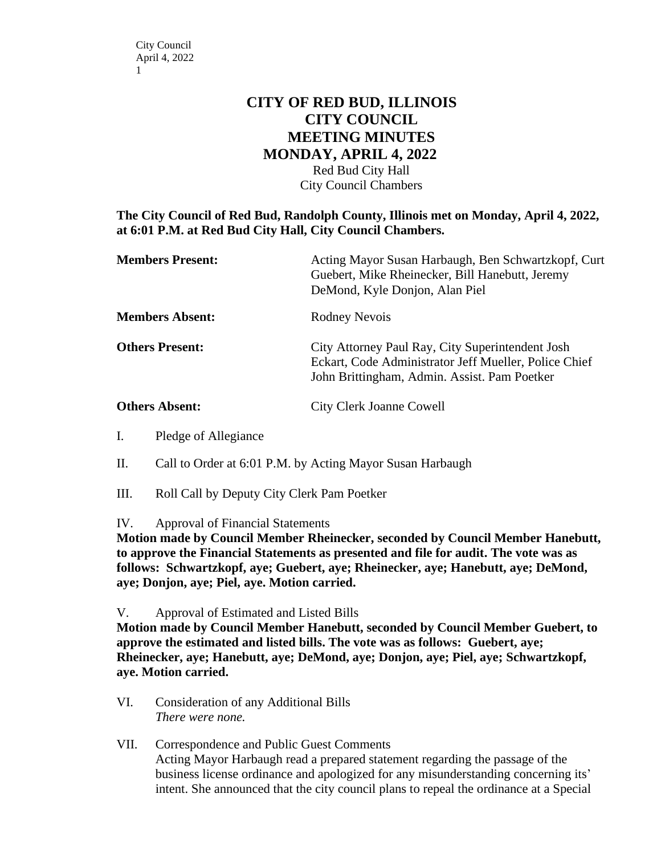## **CITY OF RED BUD, ILLINOIS CITY COUNCIL MEETING MINUTES MONDAY, APRIL 4, 2022**

Red Bud City Hall City Council Chambers

**The City Council of Red Bud, Randolph County, Illinois met on Monday, April 4, 2022, at 6:01 P.M. at Red Bud City Hall, City Council Chambers.**

| <b>Members Present:</b> | Acting Mayor Susan Harbaugh, Ben Schwartzkopf, Curt<br>Guebert, Mike Rheinecker, Bill Hanebutt, Jeremy<br>DeMond, Kyle Donjon, Alan Piel                  |
|-------------------------|-----------------------------------------------------------------------------------------------------------------------------------------------------------|
| <b>Members Absent:</b>  | Rodney Nevois                                                                                                                                             |
| <b>Others Present:</b>  | City Attorney Paul Ray, City Superintendent Josh<br>Eckart, Code Administrator Jeff Mueller, Police Chief<br>John Brittingham, Admin. Assist. Pam Poetker |
| <b>Others Absent:</b>   | <b>City Clerk Joanne Cowell</b>                                                                                                                           |

- I. Pledge of Allegiance
- II. Call to Order at 6:01 P.M. by Acting Mayor Susan Harbaugh
- III. Roll Call by Deputy City Clerk Pam Poetker
- IV. Approval of Financial Statements

**Motion made by Council Member Rheinecker, seconded by Council Member Hanebutt, to approve the Financial Statements as presented and file for audit. The vote was as follows: Schwartzkopf, aye; Guebert, aye; Rheinecker, aye; Hanebutt, aye; DeMond, aye; Donjon, aye; Piel, aye. Motion carried.**

V. Approval of Estimated and Listed Bills

**Motion made by Council Member Hanebutt, seconded by Council Member Guebert, to approve the estimated and listed bills. The vote was as follows: Guebert, aye; Rheinecker, aye; Hanebutt, aye; DeMond, aye; Donjon, aye; Piel, aye; Schwartzkopf, aye. Motion carried.**

- VI. Consideration of any Additional Bills *There were none.*
- VII. Correspondence and Public Guest Comments Acting Mayor Harbaugh read a prepared statement regarding the passage of the business license ordinance and apologized for any misunderstanding concerning its' intent. She announced that the city council plans to repeal the ordinance at a Special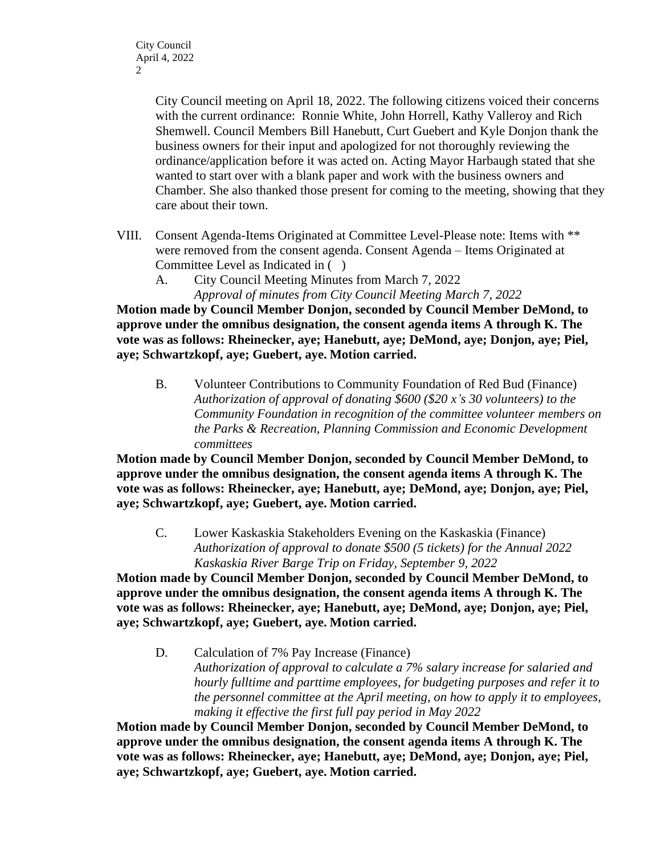City Council meeting on April 18, 2022. The following citizens voiced their concerns with the current ordinance: Ronnie White, John Horrell, Kathy Valleroy and Rich Shemwell. Council Members Bill Hanebutt, Curt Guebert and Kyle Donjon thank the business owners for their input and apologized for not thoroughly reviewing the ordinance/application before it was acted on. Acting Mayor Harbaugh stated that she wanted to start over with a blank paper and work with the business owners and Chamber. She also thanked those present for coming to the meeting, showing that they care about their town.

- VIII. Consent Agenda-Items Originated at Committee Level-Please note: Items with \*\* were removed from the consent agenda. Consent Agenda – Items Originated at Committee Level as Indicated in ( )
	- A. City Council Meeting Minutes from March 7, 2022 *Approval of minutes from City Council Meeting March 7, 2022*

**Motion made by Council Member Donjon, seconded by Council Member DeMond, to approve under the omnibus designation, the consent agenda items A through K. The vote was as follows: Rheinecker, aye; Hanebutt, aye; DeMond, aye; Donjon, aye; Piel, aye; Schwartzkopf, aye; Guebert, aye. Motion carried.** 

B. Volunteer Contributions to Community Foundation of Red Bud (Finance) *Authorization of approval of donating \$600 (\$20 x's 30 volunteers) to the Community Foundation in recognition of the committee volunteer members on the Parks & Recreation, Planning Commission and Economic Development committees*

**Motion made by Council Member Donjon, seconded by Council Member DeMond, to approve under the omnibus designation, the consent agenda items A through K. The vote was as follows: Rheinecker, aye; Hanebutt, aye; DeMond, aye; Donjon, aye; Piel, aye; Schwartzkopf, aye; Guebert, aye. Motion carried.** 

C. Lower Kaskaskia Stakeholders Evening on the Kaskaskia (Finance) *Authorization of approval to donate \$500 (5 tickets) for the Annual 2022 Kaskaskia River Barge Trip on Friday, September 9, 2022*

**Motion made by Council Member Donjon, seconded by Council Member DeMond, to approve under the omnibus designation, the consent agenda items A through K. The vote was as follows: Rheinecker, aye; Hanebutt, aye; DeMond, aye; Donjon, aye; Piel, aye; Schwartzkopf, aye; Guebert, aye. Motion carried.** 

D. Calculation of 7% Pay Increase (Finance) *Authorization of approval to calculate a 7% salary increase for salaried and hourly fulltime and parttime employees, for budgeting purposes and refer it to the personnel committee at the April meeting, on how to apply it to employees, making it effective the first full pay period in May 2022*

**Motion made by Council Member Donjon, seconded by Council Member DeMond, to approve under the omnibus designation, the consent agenda items A through K. The vote was as follows: Rheinecker, aye; Hanebutt, aye; DeMond, aye; Donjon, aye; Piel, aye; Schwartzkopf, aye; Guebert, aye. Motion carried.**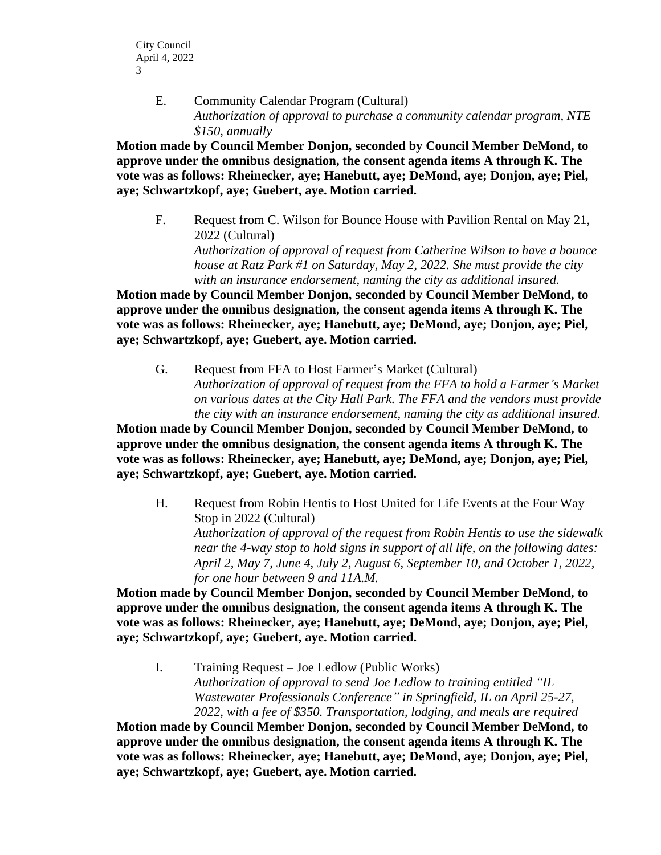E. Community Calendar Program (Cultural) *Authorization of approval to purchase a community calendar program, NTE \$150, annually*

**Motion made by Council Member Donjon, seconded by Council Member DeMond, to approve under the omnibus designation, the consent agenda items A through K. The vote was as follows: Rheinecker, aye; Hanebutt, aye; DeMond, aye; Donjon, aye; Piel, aye; Schwartzkopf, aye; Guebert, aye. Motion carried.** 

F. Request from C. Wilson for Bounce House with Pavilion Rental on May 21, 2022 (Cultural)

*Authorization of approval of request from Catherine Wilson to have a bounce house at Ratz Park #1 on Saturday, May 2, 2022. She must provide the city with an insurance endorsement, naming the city as additional insured.*

**Motion made by Council Member Donjon, seconded by Council Member DeMond, to approve under the omnibus designation, the consent agenda items A through K. The vote was as follows: Rheinecker, aye; Hanebutt, aye; DeMond, aye; Donjon, aye; Piel, aye; Schwartzkopf, aye; Guebert, aye. Motion carried.** 

G. Request from FFA to Host Farmer's Market (Cultural) *Authorization of approval of request from the FFA to hold a Farmer's Market on various dates at the City Hall Park. The FFA and the vendors must provide the city with an insurance endorsement, naming the city as additional insured.*

**Motion made by Council Member Donjon, seconded by Council Member DeMond, to approve under the omnibus designation, the consent agenda items A through K. The vote was as follows: Rheinecker, aye; Hanebutt, aye; DeMond, aye; Donjon, aye; Piel, aye; Schwartzkopf, aye; Guebert, aye. Motion carried.** 

H. Request from Robin Hentis to Host United for Life Events at the Four Way Stop in 2022 (Cultural) *Authorization of approval of the request from Robin Hentis to use the sidewalk near the 4-way stop to hold signs in support of all life, on the following dates: April 2, May 7, June 4, July 2, August 6, September 10, and October 1, 2022, for one hour between 9 and 11A.M.*

**Motion made by Council Member Donjon, seconded by Council Member DeMond, to approve under the omnibus designation, the consent agenda items A through K. The vote was as follows: Rheinecker, aye; Hanebutt, aye; DeMond, aye; Donjon, aye; Piel, aye; Schwartzkopf, aye; Guebert, aye. Motion carried.** 

I. Training Request – Joe Ledlow (Public Works) *Authorization of approval to send Joe Ledlow to training entitled "IL Wastewater Professionals Conference" in Springfield, IL on April 25-27, 2022, with a fee of \$350. Transportation, lodging, and meals are required*

**Motion made by Council Member Donjon, seconded by Council Member DeMond, to approve under the omnibus designation, the consent agenda items A through K. The vote was as follows: Rheinecker, aye; Hanebutt, aye; DeMond, aye; Donjon, aye; Piel, aye; Schwartzkopf, aye; Guebert, aye. Motion carried.**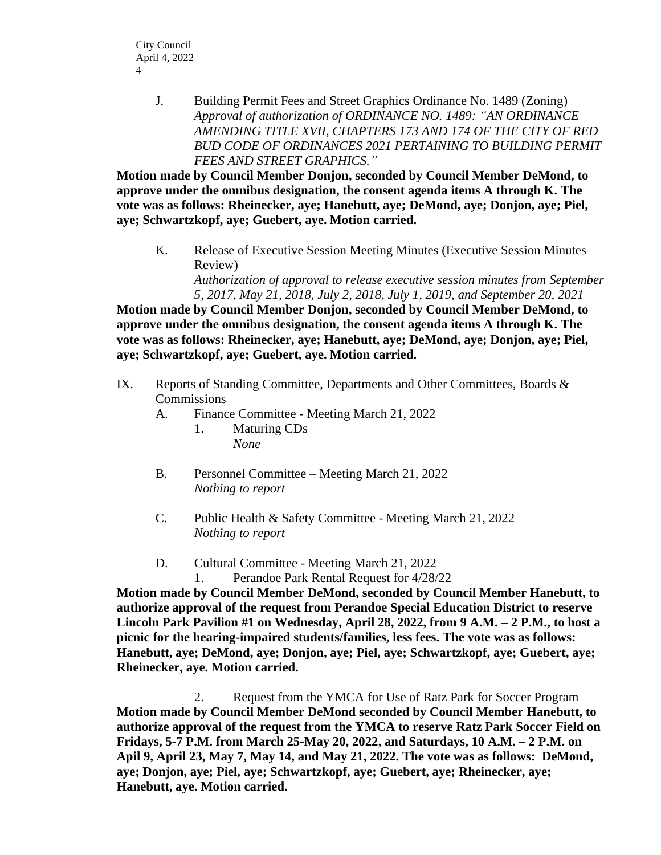J. Building Permit Fees and Street Graphics Ordinance No. 1489 (Zoning) *Approval of authorization of ORDINANCE NO. 1489: "AN ORDINANCE AMENDING TITLE XVII, CHAPTERS 173 AND 174 OF THE CITY OF RED BUD CODE OF ORDINANCES 2021 PERTAINING TO BUILDING PERMIT FEES AND STREET GRAPHICS."*

**Motion made by Council Member Donjon, seconded by Council Member DeMond, to approve under the omnibus designation, the consent agenda items A through K. The vote was as follows: Rheinecker, aye; Hanebutt, aye; DeMond, aye; Donjon, aye; Piel, aye; Schwartzkopf, aye; Guebert, aye. Motion carried.** 

K. Release of Executive Session Meeting Minutes (Executive Session Minutes Review)

*Authorization of approval to release executive session minutes from September 5, 2017, May 21, 2018, July 2, 2018, July 1, 2019, and September 20, 2021*

**Motion made by Council Member Donjon, seconded by Council Member DeMond, to approve under the omnibus designation, the consent agenda items A through K. The vote was as follows: Rheinecker, aye; Hanebutt, aye; DeMond, aye; Donjon, aye; Piel, aye; Schwartzkopf, aye; Guebert, aye. Motion carried.** 

- IX. Reports of Standing Committee, Departments and Other Committees, Boards & **Commissions** 
	- A. Finance Committee Meeting March 21, 2022
		- 1. Maturing CDs *None*
	- B. Personnel Committee Meeting March 21, 2022 *Nothing to report*
	- C. Public Health & Safety Committee Meeting March 21, 2022 *Nothing to report*
	- D. Cultural Committee Meeting March 21, 2022
		- 1. Perandoe Park Rental Request for 4/28/22

**Motion made by Council Member DeMond, seconded by Council Member Hanebutt, to authorize approval of the request from Perandoe Special Education District to reserve Lincoln Park Pavilion #1 on Wednesday, April 28, 2022, from 9 A.M. – 2 P.M., to host a picnic for the hearing-impaired students/families, less fees. The vote was as follows: Hanebutt, aye; DeMond, aye; Donjon, aye; Piel, aye; Schwartzkopf, aye; Guebert, aye; Rheinecker, aye. Motion carried.** 

2. Request from the YMCA for Use of Ratz Park for Soccer Program **Motion made by Council Member DeMond seconded by Council Member Hanebutt, to authorize approval of the request from the YMCA to reserve Ratz Park Soccer Field on Fridays, 5-7 P.M. from March 25-May 20, 2022, and Saturdays, 10 A.M. – 2 P.M. on Apil 9, April 23, May 7, May 14, and May 21, 2022. The vote was as follows: DeMond, aye; Donjon, aye; Piel, aye; Schwartzkopf, aye; Guebert, aye; Rheinecker, aye; Hanebutt, aye. Motion carried.**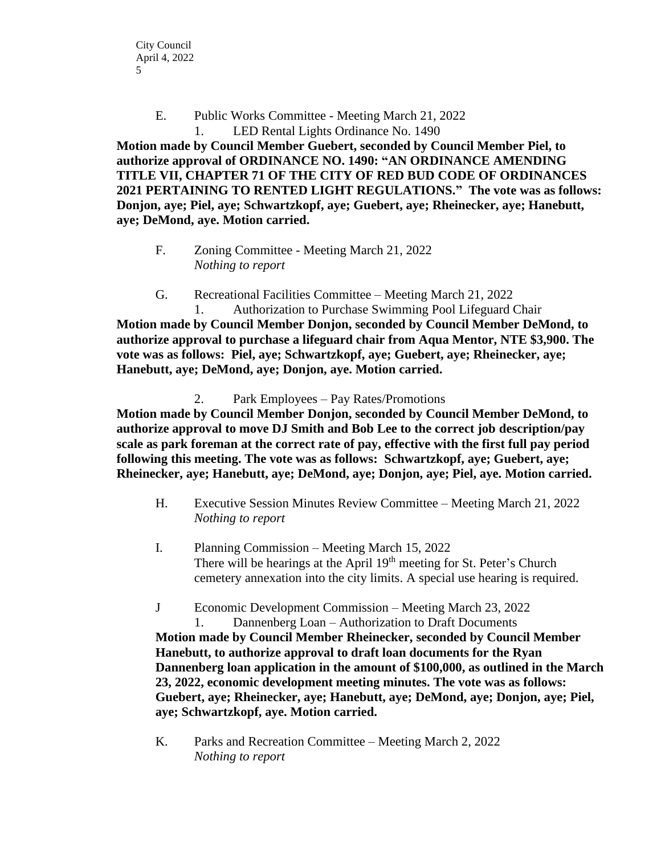E. Public Works Committee - Meeting March 21, 2022 1. LED Rental Lights Ordinance No. 1490

**Motion made by Council Member Guebert, seconded by Council Member Piel, to authorize approval of ORDINANCE NO. 1490: "AN ORDINANCE AMENDING TITLE VII, CHAPTER 71 OF THE CITY OF RED BUD CODE OF ORDINANCES 2021 PERTAINING TO RENTED LIGHT REGULATIONS." The vote was as follows: Donjon, aye; Piel, aye; Schwartzkopf, aye; Guebert, aye; Rheinecker, aye; Hanebutt, aye; DeMond, aye. Motion carried.** 

F. Zoning Committee - Meeting March 21, 2022 *Nothing to report* 

G. Recreational Facilities Committee – Meeting March 21, 2022

1. Authorization to Purchase Swimming Pool Lifeguard Chair **Motion made by Council Member Donjon, seconded by Council Member DeMond, to authorize approval to purchase a lifeguard chair from Aqua Mentor, NTE \$3,900. The vote was as follows: Piel, aye; Schwartzkopf, aye; Guebert, aye; Rheinecker, aye; Hanebutt, aye; DeMond, aye; Donjon, aye. Motion carried.** 

2. Park Employees – Pay Rates/Promotions

**Motion made by Council Member Donjon, seconded by Council Member DeMond, to authorize approval to move DJ Smith and Bob Lee to the correct job description/pay scale as park foreman at the correct rate of pay, effective with the first full pay period following this meeting. The vote was as follows: Schwartzkopf, aye; Guebert, aye; Rheinecker, aye; Hanebutt, aye; DeMond, aye; Donjon, aye; Piel, aye. Motion carried.** 

- H. Executive Session Minutes Review Committee Meeting March 21, 2022 *Nothing to report*
- I. Planning Commission Meeting March 15, 2022 There will be hearings at the April  $19<sup>th</sup>$  meeting for St. Peter's Church cemetery annexation into the city limits. A special use hearing is required.
- J Economic Development Commission Meeting March 23, 2022 1. Dannenberg Loan – Authorization to Draft Documents

**Motion made by Council Member Rheinecker, seconded by Council Member Hanebutt, to authorize approval to draft loan documents for the Ryan Dannenberg loan application in the amount of \$100,000, as outlined in the March 23, 2022, economic development meeting minutes. The vote was as follows: Guebert, aye; Rheinecker, aye; Hanebutt, aye; DeMond, aye; Donjon, aye; Piel, aye; Schwartzkopf, aye. Motion carried.** 

K. Parks and Recreation Committee – Meeting March 2, 2022 *Nothing to report*